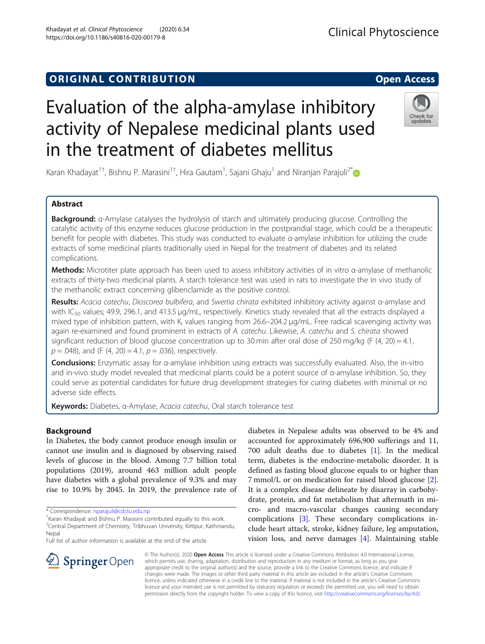## **ORIGINAL CONTRIBUTION CONTRIBUTION**

# Evaluation of the alpha-amylase inhibitory activity of Nepalese medicinal plants used in the treatment of diabetes mellitus

Karan Khadayat $^{1\dagger}$ , Bishnu P. Marasini $^{1\dagger}$ , Hira Gautam $^1$ , Sajani Ghaju $^1$  and Niranjan Parajuli $^{2^\ast}$ 

## Abstract

Background: α-Amylase catalyses the hydrolysis of starch and ultimately producing glucose. Controlling the catalytic activity of this enzyme reduces glucose production in the postprandial stage, which could be a therapeutic benefit for people with diabetes. This study was conducted to evaluate α-amylase inhibition for utilizing the crude extracts of some medicinal plants traditionally used in Nepal for the treatment of diabetes and its related complications.

Methods: Microtiter plate approach has been used to assess inhibitory activities of in vitro α-amylase of methanolic extracts of thirty-two medicinal plants. A starch tolerance test was used in rats to investigate the in vivo study of the methanolic extract concerning glibenclamide as the positive control.

Results: Acacia catechu, Dioscorea bulbifera, and Swertia chirata exhibited inhibitory activity against α-amylase and with IC<sub>50</sub> values; 49.9, 296.1, and 413.5  $\mu$ g/mL, respectively. Kinetics study revealed that all the extracts displayed a mixed type of inhibition pattern, with K<sub>i</sub> values ranging from 26.6–204.2 μg/mL. Free radical scavenging activity was again re-examined and found prominent in extracts of A. catechu. Likewise, A. catechu and S. chirata showed significant reduction of blood glucose concentration up to 30 min after oral dose of 250 mg/kg (F  $(4, 20) = 4.1$ ,  $p = .048$ ), and (F (4, 20) = 4.1,  $p = .036$ ), respectively.

Conclusions: Enzymatic assay for α-amylase inhibition using extracts was successfully evaluated. Also, the in-vitro and in-vivo study model revealed that medicinal plants could be a potent source of α-amylase inhibition. So, they could serve as potential candidates for future drug development strategies for curing diabetes with minimal or no adverse side effects.

Keywords: Diabetes, α-Amylase, Acacia catechu, Oral starch tolerance test

## Background

In Diabetes, the body cannot produce enough insulin or cannot use insulin and is diagnosed by observing raised levels of glucose in the blood. Among 7.7 billion total populations (2019), around 463 million adult people have diabetes with a global prevalence of 9.3% and may rise to 10.9% by 2045. In 2019, the prevalence rate of

\* Correspondence: [nparajuli@cdctu.edu.np](mailto:nparajuli@cdctu.edu.np) †

<sup>2</sup>Central Department of Chemistry, Tribhuvan University, Kirtipur, Kathmandu, **Nepal** 

Full list of author information is available at the end of the article

diabetes in Nepalese adults was observed to be 4% and accounted for approximately 696,900 sufferings and 11, 700 adult deaths due to diabetes [[1\]](#page-6-0). In the medical term, diabetes is the endocrine-metabolic disorder. It is defined as fasting blood glucose equals to or higher than 7 mmol/L or on medication for raised blood glucose [\[2](#page-6-0)]. It is a complex disease delineate by disarray in carbohydrate, protein, and fat metabolism that aftermath in micro- and macro-vascular changes causing secondary complications [[3\]](#page-6-0). These secondary complications include heart attack, stroke, kidney failure, leg amputation, vision loss, and nerve damages [[4\]](#page-6-0). Maintaining stable

**Clinical Phytoscience** 

© The Author(s). 2020 Open Access This article is licensed under a Creative Commons Attribution 4.0 International License, which permits use, sharing, adaptation, distribution and reproduction in any medium or format, as long as you give appropriate credit to the original author(s) and the source, provide a link to the Creative Commons licence, and indicate if changes were made. The images or other third party material in this article are included in the article's Creative Commons licence, unless indicated otherwise in a credit line to the material. If material is not included in the article's Creative Commons licence and your intended use is not permitted by statutory regulation or exceeds the permitted use, you will need to obtain permission directly from the copyright holder. To view a copy of this licence, visit <http://creativecommons.org/licenses/by/4.0/>.





## Khadayat et al. Clinical Phytoscience (2020) 6:34 https://doi.org/10.1186/s40816-020-00179-8



<sup>&</sup>lt;sup>+</sup>Karan Khadayat and Bishnu P. Marasini contributed equally to this work.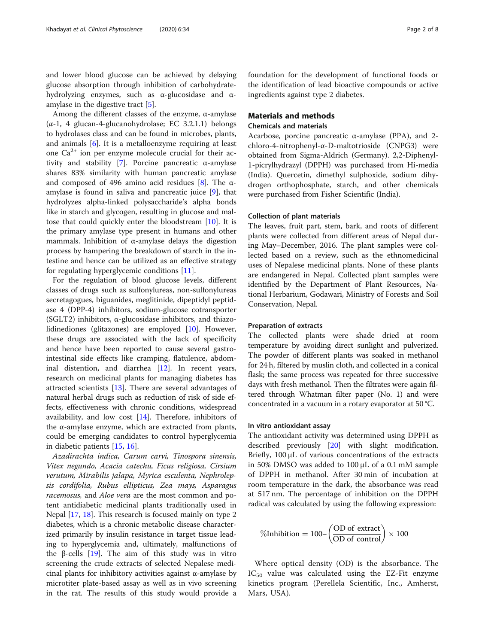and lower blood glucose can be achieved by delaying glucose absorption through inhibition of carbohydratehydrolyzing enzymes, such as α-glucosidase and αamylase in the digestive tract  $[5]$  $[5]$ .

Among the different classes of the enzyme, α-amylase  $(\alpha-1, 4)$  glucan-4-glucanohydrolase; EC 3.2.1.1) belongs to hydrolases class and can be found in microbes, plants, and animals [\[6](#page-6-0)]. It is a metalloenzyme requiring at least one  $Ca^{2+}$  ion per enzyme molecule crucial for their activity and stability [\[7](#page-6-0)]. Porcine pancreatic α-amylase shares 83% similarity with human pancreatic amylase and composed of 496 amino acid residues [\[8\]](#page-6-0). The αamylase is found in saliva and pancreatic juice [\[9](#page-6-0)], that hydrolyzes alpha-linked polysaccharide's alpha bonds like in starch and glycogen, resulting in glucose and maltose that could quickly enter the bloodstream [\[10\]](#page-6-0). It is the primary amylase type present in humans and other mammals. Inhibition of  $\alpha$ -amylase delays the digestion process by hampering the breakdown of starch in the intestine and hence can be utilized as an effective strategy for regulating hyperglycemic conditions [[11](#page-6-0)].

For the regulation of blood glucose levels, different classes of drugs such as sulfonylureas, non-sulfonylureas secretagogues, biguanides, meglitinide, dipeptidyl peptidase 4 (DPP-4) inhibitors, sodium-glucose cotransporter (SGLT2) inhibitors,  $\alpha$ -glucosidase inhibitors, and thiazolidinediones (glitazones) are employed [[10\]](#page-6-0). However, these drugs are associated with the lack of specificity and hence have been reported to cause several gastrointestinal side effects like cramping, flatulence, abdominal distention, and diarrhea [\[12\]](#page-6-0). In recent years, research on medicinal plants for managing diabetes has attracted scientists [\[13](#page-6-0)]. There are several advantages of natural herbal drugs such as reduction of risk of side effects, effectiveness with chronic conditions, widespread availability, and low cost [[14\]](#page-6-0). Therefore, inhibitors of the α-amylase enzyme, which are extracted from plants, could be emerging candidates to control hyperglycemia in diabetic patients [[15](#page-6-0), [16](#page-6-0)].

Azadirachta indica, Carum carvi, Tinospora sinensis, Vitex negundo, Acacia catechu, Ficus religiosa, Cirsium verutum, Mirabilis jalapa, Myrica esculenta, Nephrolepsis cordifolia, Rubus ellipticus, Zea mays, Asparagus racemosus, and Aloe vera are the most common and potent antidiabetic medicinal plants traditionally used in Nepal [[17,](#page-6-0) [18\]](#page-6-0). This research is focused mainly on type 2 diabetes, which is a chronic metabolic disease characterized primarily by insulin resistance in target tissue leading to hyperglycemia and, ultimately, malfunctions of the β-cells  $[19]$  $[19]$ . The aim of this study was in vitro screening the crude extracts of selected Nepalese medicinal plants for inhibitory activities against α-amylase by microtiter plate-based assay as well as in vivo screening in the rat. The results of this study would provide a

foundation for the development of functional foods or the identification of lead bioactive compounds or active ingredients against type 2 diabetes.

## Materials and methods

## Chemicals and materials

Acarbose, porcine pancreatic  $\alpha$ -amylase (PPA), and 2chloro-4-nitrophenyl-α-D-maltotrioside (CNPG3) were obtained from Sigma-Aldrich (Germany). 2,2-Diphenyl-1-picrylhydrazyl (DPPH) was purchased from Hi-media (India). Quercetin, dimethyl sulphoxide, sodium dihydrogen orthophosphate, starch, and other chemicals were purchased from Fisher Scientific (India).

## Collection of plant materials

The leaves, fruit part, stem, bark, and roots of different plants were collected from different areas of Nepal during May–December, 2016. The plant samples were collected based on a review, such as the ethnomedicinal uses of Nepalese medicinal plants. None of these plants are endangered in Nepal. Collected plant samples were identified by the Department of Plant Resources, National Herbarium, Godawari, Ministry of Forests and Soil Conservation, Nepal.

#### Preparation of extracts

The collected plants were shade dried at room temperature by avoiding direct sunlight and pulverized. The powder of different plants was soaked in methanol for 24 h, filtered by muslin cloth, and collected in a conical flask; the same process was repeated for three successive days with fresh methanol. Then the filtrates were again filtered through Whatman filter paper (No. 1) and were concentrated in a vacuum in a rotary evaporator at 50 °C.

### In vitro antioxidant assay

The antioxidant activity was determined using DPPH as described previously [[20\]](#page-6-0) with slight modification. Briefly, 100 μL of various concentrations of the extracts in 50% DMSO was added to 100 μL of a 0.1 mM sample of DPPH in methanol. After 30 min of incubation at room temperature in the dark, the absorbance was read at 517 nm. The percentage of inhibition on the DPPH radical was calculated by using the following expression:

$$
\% Inhibition = 100 - \left(\frac{OD \text{ of extract}}{OD \text{ of control}}\right) \times 100
$$

Where optical density (OD) is the absorbance. The  $IC_{50}$  value was calculated using the EZ-Fit enzyme kinetics program (Perellela Scientific, Inc., Amherst, Mars, USA).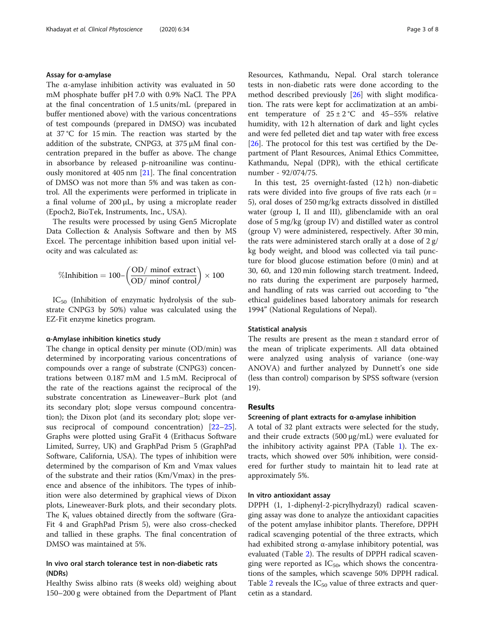### Assay for α-amylase

The α-amylase inhibition activity was evaluated in 50 mM phosphate buffer pH 7.0 with 0.9% NaCl. The PPA at the final concentration of 1.5 units/mL (prepared in buffer mentioned above) with the various concentrations of test compounds (prepared in DMSO) was incubated at 37 °C for 15 min. The reaction was started by the addition of the substrate, CNPG3, at 375 μM final concentration prepared in the buffer as above. The change in absorbance by released p-nitroaniline was continuously monitored at 405 nm [[21\]](#page-6-0). The final concentration of DMSO was not more than 5% and was taken as control. All the experiments were performed in triplicate in a final volume of 200 μL, by using a microplate reader (Epoch2, BioTek, Instruments, Inc., USA).

The results were processed by using Gen5 Microplate Data Collection & Analysis Software and then by MS Excel. The percentage inhibition based upon initial velocity and was calculated as:

$$
\% Inhibition = 100 - \left(\frac{OD/ \text{ minof extract}}{OD/ \text{ minof control}}\right) \times 100
$$

 $IC_{50}$  (Inhibition of enzymatic hydrolysis of the substrate CNPG3 by 50%) value was calculated using the EZ-Fit enzyme kinetics program.

#### α-Amylase inhibition kinetics study

The change in optical density per minute (OD/min) was determined by incorporating various concentrations of compounds over a range of substrate (CNPG3) concentrations between 0.187 mM and 1.5 mM. Reciprocal of the rate of the reactions against the reciprocal of the substrate concentration as Lineweaver–Burk plot (and its secondary plot; slope versus compound concentration); the Dixon plot (and its secondary plot; slope versus reciprocal of compound concentration) [[22](#page-6-0)–[25](#page-6-0)]. Graphs were plotted using GraFit 4 (Erithacus Software Limited, Surrey, UK) and GraphPad Prism 5 (GraphPad Software, California, USA). The types of inhibition were determined by the comparison of Km and Vmax values of the substrate and their ratios (Km/Vmax) in the presence and absence of the inhibitors. The types of inhibition were also determined by graphical views of Dixon plots, Lineweaver-Burk plots, and their secondary plots. The  $K_i$  values obtained directly from the software (Gra-Fit 4 and GraphPad Prism 5), were also cross-checked and tallied in these graphs. The final concentration of DMSO was maintained at 5%.

## In vivo oral starch tolerance test in non-diabetic rats (NDRs)

Healthy Swiss albino rats (8 weeks old) weighing about 150–200 g were obtained from the Department of Plant Resources, Kathmandu, Nepal. Oral starch tolerance tests in non-diabetic rats were done according to the method described previously [\[26\]](#page-6-0) with slight modification. The rats were kept for acclimatization at an ambient temperature of  $25 \pm 2$  °C and 45-55% relative humidity, with 12 h alternation of dark and light cycles and were fed pelleted diet and tap water with free excess [[26\]](#page-6-0). The protocol for this test was certified by the Department of Plant Resources, Animal Ethics Committee, Kathmandu, Nepal (DPR), with the ethical certificate number - 92/074/75.

In this test, 25 overnight-fasted (12 h) non-diabetic rats were divided into five groups of five rats each  $(n =$ 5), oral doses of 250 mg/kg extracts dissolved in distilled water (group I, II and III), glibenclamide with an oral dose of 5 mg/kg (group IV) and distilled water as control (group V) were administered, respectively. After 30 min, the rats were administered starch orally at a dose of 2 g/ kg body weight, and blood was collected via tail puncture for blood glucose estimation before (0 min) and at 30, 60, and 120 min following starch treatment. Indeed, no rats during the experiment are purposely harmed, and handling of rats was carried out according to "the ethical guidelines based laboratory animals for research 1994" (National Regulations of Nepal).

## Statistical analysis

The results are present as the mean ± standard error of the mean of triplicate experiments. All data obtained were analyzed using analysis of variance (one-way ANOVA) and further analyzed by Dunnett's one side (less than control) comparison by SPSS software (version 19).

## Results

## Screening of plant extracts for α-amylase inhibition

A total of 32 plant extracts were selected for the study, and their crude extracts (500 μg/mL) were evaluated for the inhibitory activity against PPA (Table [1](#page-3-0)). The extracts, which showed over 50% inhibition, were considered for further study to maintain hit to lead rate at approximately 5%.

#### In vitro antioxidant assay

DPPH (1, 1-diphenyl-2-picrylhydrazyl) radical scavenging assay was done to analyze the antioxidant capacities of the potent amylase inhibitor plants. Therefore, DPPH radical scavenging potential of the three extracts, which had exhibited strong α-amylase inhibitory potential, was evaluated (Table [2](#page-3-0)). The results of DPPH radical scavenging were reported as  $IC_{50}$ , which shows the concentrations of the samples, which scavenge 50% DPPH radical. Table [2](#page-3-0) reveals the  $IC_{50}$  value of three extracts and quercetin as a standard.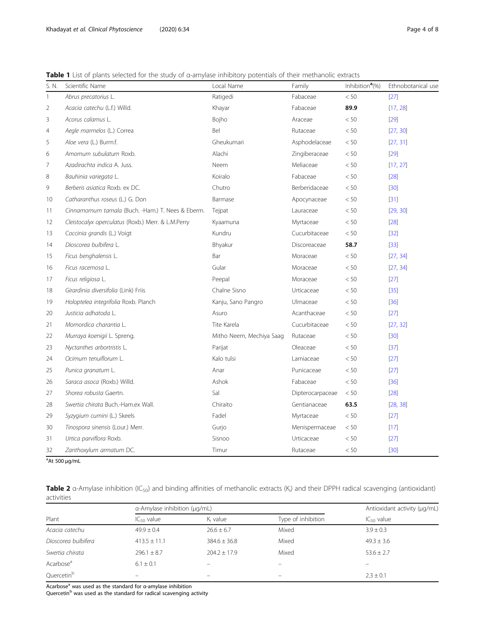<span id="page-3-0"></span>Table 1 List of plants selected for the study of α-amylase inhibitory potentials of their methanolic extracts

| S. N.          | Scientific Name                                    | Local Name               | Family           | Inhibition <sup>a</sup> (%) | Ethnobotanical use |
|----------------|----------------------------------------------------|--------------------------|------------------|-----------------------------|--------------------|
| 1              | Abrus precatorius L.                               | Ratigedi                 | Fabaceae         | < 50                        | $[27]$             |
| $\overline{2}$ | Acacia catechu (L.f.) Willd.                       | Khayar                   | Fabaceae         | 89.9                        | [17, 28]           |
| 3              | Acorus calamus L.                                  | Bojho                    | Araceae          | < 50                        | $[29]$             |
| 4              | Aegle marmelos (L.) Correa                         | Bel                      | Rutaceae         | < 50                        | [27, 30]           |
| 5              | Aloe vera (L.) Burm.f.                             | Gheukumari               | Asphodelaceae    | < 50                        | [27, 31]           |
| 6              | Amomum subulatum Roxb.                             | Alachi                   | Zingiberaceae    | < 50                        | $[29]$             |
| 7              | Azadirachta indica A. Juss.                        | Neem                     | Meliaceae        | < 50                        | [17, 27]           |
| 8              | Bauhinia variegata L.                              | Koiralo                  | Fabaceae         | < 50                        | $[28]$             |
| 9              | Berberis asiatica Roxb. ex DC.                     | Chutro                   | Berberidaceae    | < 50                        | $[30]$             |
| 10             | Catharanthus roseus (L.) G. Don                    | Barmase                  | Apocynaceae      | < 50                        | $[31]$             |
| 11             | Cinnamomum tamala (Buch. -Ham.) T. Nees & Eberm.   | Tejpat                   | Lauraceae        | < 50                        | [29, 30]           |
| 12             | Cleistocalyx operculatus (Roxb.) Merr. & L.M.Perry | Kyaamuna                 | Myrtaceae        | < 50                        | $[28]$             |
| 13             | Coccinia grandis (L.) Voigt                        | Kundru                   | Cucurbitaceae    | < 50                        | $[32]$             |
| 14             | Dioscorea bulbifera L.                             | Bhyakur                  | Discoreaceae     | 58.7                        | $[33]$             |
| 15             | Ficus benghalensis L.                              | Bar                      | Moraceae         | < 50                        | [27, 34]           |
| 16             | Ficus racemosa L.                                  | Gular                    | Moraceae         | < 50                        | [27, 34]           |
| 17             | Ficus religiosa L.                                 | Peepal                   | Moraceae         | $<50\,$                     | $[27]$             |
| 18             | Girardinia diversifolia (Link) Friis               | Chalne Sisno             | Urticaceae       | < 50                        | $[35]$             |
| 19             | Holoptelea integrifolia Roxb. Planch               | Kanju, Sano Pangro       | Ulmaceae         | < 50                        | $[36]$             |
| 20             | Justicia adhatoda L.                               | Asuro                    | Acanthaceae      | < 50                        | $[27]$             |
| 21             | Momordica charantia L.                             | Tite Karela              | Cucurbitaceae    | < 50                        | [27, 32]           |
| 22             | Murraya koenigii L. Spreng.                        | Mitho Neem, Mechiya Saag | Rutaceae         | < 50                        | $[30]$             |
| 23             | Nyctanthes arbortristis L.                         | Parijat                  | Oleaceae         | < 50                        | $[37]$             |
| 24             | Ocimum tenuiflorum L.                              | Kalo tulsi               | Lamiaceae        | < 50                        | $[27]$             |
| 25             | Punica granatum L.                                 | Anar                     | Punicaceae       | < 50                        | $[27]$             |
| 26             | Saraca asoca (Roxb.) Willd.                        | Ashok                    | Fabaceae         | < 50                        | $[36]$             |
| 27             | Shorea robusta Gaertn.                             | Sal                      | Dipterocarpaceae | < 50                        | $[28]$             |
| 28             | Swertia chirata Buch.-Ham.ex Wall.                 | Chiraito                 | Gentianaceae     | 63.5                        | [28, 38]           |
| 29             | Syzygium cumini (L.) Skeels                        | Fadel                    | Myrtaceae        | < 50                        | $[27]$             |
| 30             | Tinospora sinensis (Lour.) Merr.                   | Gurjo                    | Menispermaceae   | < 50                        | $[17]$             |
| 31             | Urtica parviflora Roxb.                            | Sisnoo                   | Urticaceae       | $< 50$                      | $[27]$             |
| 32             | Zanthoxylum armatum DC.                            | Timur                    | Rutaceae         | < 50                        | [30]               |

<sup>a</sup>At 500 μg/mL

**Table 2** α-Amylase inhibition (IC<sub>50</sub>) and binding affinities of methanolic extracts (K<sub>i</sub>) and their DPPH radical scavenging (antioxidant) activities

|                       | a-Amylase inhibition (µg/mL) |                      |                    | Antioxidant activity (µg/mL) |
|-----------------------|------------------------------|----------------------|--------------------|------------------------------|
| Plant                 | $IC_{50}$ value              | K <sub>i</sub> value | Type of inhibition | $IC_{50}$ value              |
| Acacia catechu        | $49.9 \pm 0.4$               | $26.6 \pm 6.7$       | Mixed              | $3.9 \pm 0.3$                |
| Dioscorea bulbifera   | $413.5 \pm 11.1$             | $384.6 \pm 36.8$     | Mixed              | $49.3 \pm 3.6$               |
| Swertia chirata       | $296.1 \pm 8.7$              | $204.2 \pm 17.9$     | Mixed              | $53.6 \pm 2.7$               |
| Acarbose <sup>a</sup> | $6.1 \pm 0.1$                |                      |                    |                              |
| Quercetinb            |                              |                      | -                  | $2.3 \pm 0.1$                |

Acarbose<sup>a</sup> was used as the standard for α-amylase inhibition

Quercetin<sup>b</sup> was used as the standard for radical scavenging activity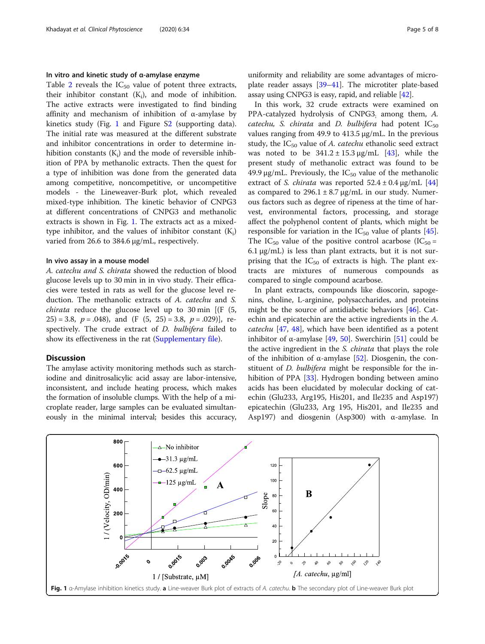## <span id="page-4-0"></span>In vitro and kinetic study of α-amylase enzyme

Table [2](#page-3-0) reveals the  $IC_{50}$  value of potent three extracts, their inhibitor constant  $(K_i)$ , and mode of inhibition. The active extracts were investigated to find binding affinity and mechanism of inhibition of α-amylase by kinetics study (Fig. 1 and Figure [S2](#page-5-0) (supporting data). The initial rate was measured at the different substrate and inhibitor concentrations in order to determine inhibition constants  $(K_i)$  and the mode of reversible inhibition of PPA by methanolic extracts. Then the quest for a type of inhibition was done from the generated data among competitive, noncompetitive, or uncompetitive models - the Lineweaver-Burk plot, which revealed mixed-type inhibition. The kinetic behavior of CNPG3 at different concentrations of CNPG3 and methanolic extracts is shown in Fig. 1. The extracts act as a mixedtype inhibitor, and the values of inhibitor constant  $(K_i)$ varied from 26.6 to 384.6 μg/mL, respectively.

#### In vivo assay in a mouse model

A. catechu and S. chirata showed the reduction of blood glucose levels up to 30 min in in vivo study. Their efficacies were tested in rats as well for the glucose level reduction. The methanolic extracts of A. catechu and S. *chirata* reduce the glucose level up to 30 min  $[(F (5,$  $(25) = 3.8$ ,  $p = .048$ ), and  $(F (5, 25) = 3.8, p = .029)$ , respectively. The crude extract of D. bulbifera failed to show its effectiveness in the rat [\(Supplementary file\)](#page-5-0).

#### **Discussion**

The amylase activity monitoring methods such as starchiodine and dinitrosalicylic acid assay are labor-intensive, inconsistent, and include heating process, which makes the formation of insoluble clumps. With the help of a microplate reader, large samples can be evaluated simultaneously in the minimal interval; besides this accuracy, uniformity and reliability are some advantages of microplate reader assays [[39](#page-6-0)–[41\]](#page-6-0). The microtiter plate-based assay using CNPG3 is easy, rapid, and reliable [\[42\]](#page-6-0).

In this work, 32 crude extracts were examined on PPA-catalyzed hydrolysis of CNPG3; among them, A. catechu, S. chirata and D. bulbifera had potent  $IC_{50}$ values ranging from 49.9 to 413.5 μg/mL. In the previous study, the  $IC_{50}$  value of A. catechu ethanolic seed extract was noted to be  $341.2 \pm 15.3 \,\mu$ g/mL [\[43](#page-6-0)], while the present study of methanolic extract was found to be 49.9 μg/mL. Previously, the  $IC_{50}$  value of the methanolic extract of *S. chirata* was reported  $52.4 \pm 0.4$  µg/mL [[44](#page-6-0)] as compared to  $296.1 \pm 8.7$   $\mu$ g/mL in our study. Numerous factors such as degree of ripeness at the time of harvest, environmental factors, processing, and storage affect the polyphenol content of plants, which might be responsible for variation in the  $IC_{50}$  value of plants [\[45](#page-7-0)]. The IC<sub>50</sub> value of the positive control acarbose (IC<sub>50</sub> =  $6.1 \,\mu$ g/mL) is less than plant extracts, but it is not surprising that the  $IC_{50}$  of extracts is high. The plant extracts are mixtures of numerous compounds as compared to single compound acarbose.

In plant extracts, compounds like dioscorin, sapogenins, choline, L-arginine, polysaccharides, and proteins might be the source of antidiabetic behaviors [[46\]](#page-7-0). Catechin and epicatechin are the active ingredients in the A. catechu [[47](#page-7-0), [48](#page-7-0)], which have been identified as a potent inhibitor of  $\alpha$ -amylase [[49](#page-7-0), [50\]](#page-7-0). Swerchirin [[51\]](#page-7-0) could be the active ingredient in the S. chirata that plays the role of the inhibition of α-amylase [\[52\]](#page-7-0). Diosgenin, the constituent of *D. bulbifera* might be responsible for the in-hibition of PPA [\[33\]](#page-6-0). Hydrogen bonding between amino acids has been elucidated by molecular docking of catechin (Glu233, Arg195, His201, and Ile235 and Asp197) epicatechin (Glu233, Arg 195, His201, and Ile235 and Asp197) and diosgenin (Asp300) with α-amylase. In

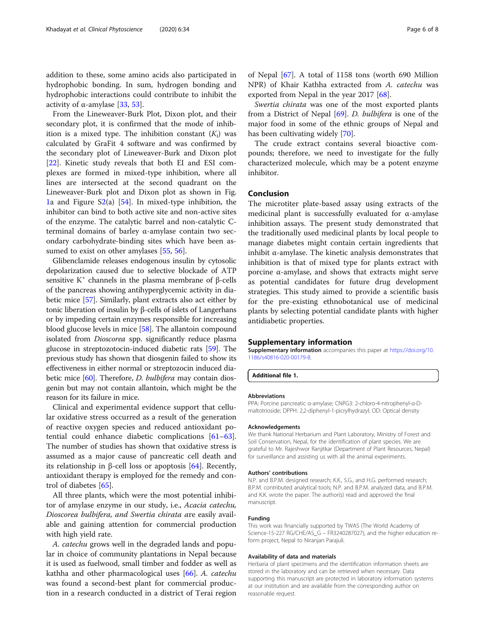<span id="page-5-0"></span>addition to these, some amino acids also participated in hydrophobic bonding. In sum, hydrogen bonding and hydrophobic interactions could contribute to inhibit the activity of α-amylase [[33,](#page-6-0) [53\]](#page-7-0).

From the Lineweaver-Burk Plot, Dixon plot, and their secondary plot, it is confirmed that the mode of inhibition is a mixed type. The inhibition constant  $(K_i)$  was calculated by GraFit 4 software and was confirmed by the secondary plot of Lineweaver-Burk and Dixon plot [[22\]](#page-6-0). Kinetic study reveals that both EI and ESI complexes are formed in mixed-type inhibition, where all lines are intersected at the second quadrant on the Lineweaver-Burk plot and Dixon plot as shown in Fig. [1a](#page-4-0) and Figure  $S_2(a)$  [\[54](#page-7-0)]. In mixed-type inhibition, the inhibitor can bind to both active site and non-active sites of the enzyme. The catalytic barrel and non-catalytic Cterminal domains of barley α-amylase contain two secondary carbohydrate-binding sites which have been as-sumed to exist on other amylases [[55](#page-7-0), [56](#page-7-0)].

Glibenclamide releases endogenous insulin by cytosolic depolarization caused due to selective blockade of ATP sensitive K<sup>+</sup> channels in the plasma membrane of β-cells of the pancreas showing antihyperglycemic activity in diabetic mice [[57](#page-7-0)]. Similarly, plant extracts also act either by tonic liberation of insulin by β-cells of islets of Langerhans or by impeding certain enzymes responsible for increasing blood glucose levels in mice [[58](#page-7-0)]. The allantoin compound isolated from Dioscorea spp. significantly reduce plasma glucose in streptozotocin-induced diabetic rats [[59](#page-7-0)]. The previous study has shown that diosgenin failed to show its effectiveness in either normal or streptozocin induced dia-betic mice [\[60\]](#page-7-0). Therefore, *D. bulbifera* may contain diosgenin but may not contain allantoin, which might be the reason for its failure in mice.

Clinical and experimental evidence support that cellular oxidative stress occurred as a result of the generation of reactive oxygen species and reduced antioxidant potential could enhance diabetic complications [[61](#page-7-0)–[63](#page-7-0)]. The number of studies has shown that oxidative stress is assumed as a major cause of pancreatic cell death and its relationship in β-cell loss or apoptosis  $[64]$  $[64]$ . Recently, antioxidant therapy is employed for the remedy and control of diabetes [\[65](#page-7-0)].

All three plants, which were the most potential inhibitor of amylase enzyme in our study, i.e., Acacia catechu, Dioscorea bulbifera, and Swertia chirata are easily available and gaining attention for commercial production with high yield rate.

A. catechu grows well in the degraded lands and popular in choice of community plantations in Nepal because it is used as fuelwood, small timber and fodder as well as kathha and other pharmacological uses [[66\]](#page-7-0). A. catechu was found a second-best plant for commercial production in a research conducted in a district of Terai region

of Nepal [\[67\]](#page-7-0). A total of 1158 tons (worth 690 Million NPR) of Khair Kathha extracted from A. catechu was exported from Nepal in the year 2017 [[68\]](#page-7-0).

Swertia chirata was one of the most exported plants from a District of Nepal [\[69](#page-7-0)]. *D. bulbifera* is one of the major food in some of the ethnic groups of Nepal and has been cultivating widely [\[70](#page-7-0)].

The crude extract contains several bioactive compounds; therefore, we need to investigate for the fully characterized molecule, which may be a potent enzyme inhibitor.

## Conclusion

The microtiter plate-based assay using extracts of the medicinal plant is successfully evaluated for  $\alpha$ -amylase inhibition assays. The present study demonstrated that the traditionally used medicinal plants by local people to manage diabetes might contain certain ingredients that inhibit α-amylase. The kinetic analysis demonstrates that inhibition is that of mixed type for plants extract with porcine α-amylase, and shows that extracts might serve as potential candidates for future drug development strategies. This study aimed to provide a scientific basis for the pre-existing ethnobotanical use of medicinal plants by selecting potential candidate plants with higher antidiabetic properties.

#### Supplementary information

Supplementary information accompanies this paper at [https://doi.org/10.](https://doi.org/10.1186/s40816-020-00179-8) [1186/s40816-020-00179-8](https://doi.org/10.1186/s40816-020-00179-8).

Additional file 1.

#### Abbreviations

PPA: Porcine pancreatic α-amylase; CNPG3: 2-chloro-4-nitrophenyl-α-Dmaltotrioside; DPPH: 2,2-diphenyl-1-picrylhydrazyl; OD: Optical density

#### Acknowledgements

We thank National Herbarium and Plant Laboratory, Ministry of Forest and Soil Conservation, Nepal, for the identification of plant species. We are grateful to Mr. Rajeshwor Ranjitkar (Department of Plant Resources, Nepal) for surveillance and assisting us with all the animal experiments.

#### Authors' contributions

N.P. and B.P.M. designed research; K.K., S.G., and H.G. performed research; B.P.M. contributed analytical tools; N.P. and B.P.M. analyzed data, and B.P.M. and K.K. wrote the paper. The author(s) read and approved the final manuscript.

#### Funding

This work was financially supported by TWAS (The World Academy of Science-15-227 RG/CHE/AS\_G – FR3240287027), and the higher education reform project, Nepal to Niranjan Parajuli.

#### Availability of data and materials

Herbaria of plant specimens and the identification information sheets are stored in the laboratory and can be retrieved when necessary. Data supporting this manuscript are protected in laboratory information systems at our institution and are available from the corresponding author on reasonable request.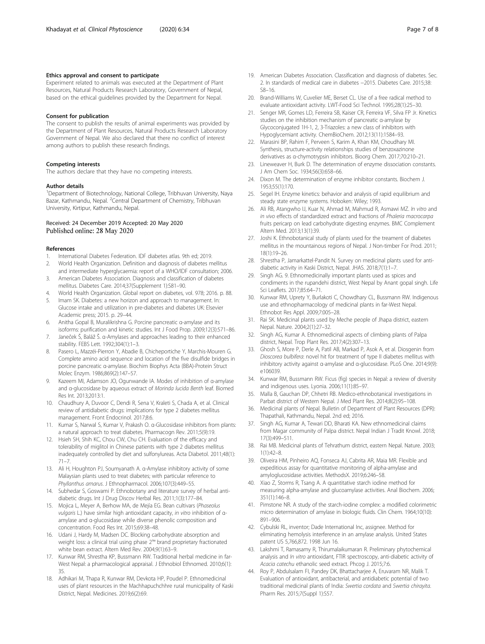#### <span id="page-6-0"></span>Ethics approval and consent to participate

Experiment related to animals was executed at the Department of Plant Resources, Natural Products Research Laboratory, Government of Nepal, based on the ethical guidelines provided by the Department for Nepal.

#### Consent for publication

The consent to publish the results of animal experiments was provided by the Department of Plant Resources, Natural Products Research Laboratory Government of Nepal. We also declared that there no conflict of interest among authors to publish these research findings.

#### Competing interests

The authors declare that they have no competing interests.

#### Author details

<sup>1</sup>Department of Biotechnology, National College, Tribhuvan University, Naya Bazar, Kathmandu, Nepal. <sup>2</sup>Central Department of Chemistry, Tribhuvan University, Kirtipur, Kathmandu, Nepal.

#### Received: 24 December 2019 Accepted: 20 May 2020 Published online: 28 May 2020

#### References

- 1. International Diabetes Federation. IDF diabetes atlas. 9th ed; 2019.
- 2. World Health Organization. Definition and diagnosis of diabetes mellitus
- and intermediate hyperglycaemia: report of a WHO/IDF consultation; 2006. 3. American Diabetes Association. Diagnosis and classification of diabetes mellitus. Diabetes Care. 2014;37(Supplement 1):S81–90.
- 4. World Health Organization. Global report on diabetes, vol. 978; 2016. p. 88.
- Imam SK. Diabetes: a new horizon and approach to management. In: Glucose intake and utilization in pre-diabetes and diabetes UK: Elsevier Academic press; 2015. p. 29–44.
- 6. Anitha Gopal B, Muralikrishna G. Porcine pancreatic α-amylase and its isoforms: purification and kinetic studies. Int J Food Prop. 2009;12(3):571–86.
- 7. Janeček Š, Baláž Š. α-Amylases and approaches leading to their enhanced stability. FEBS Lett. 1992;304(1):1–3.
- 8. Pasero L, Mazzéi-Pierron Y, Abadie B, Chicheportiche Y, Marchis-Mouren G. Complete amino acid sequence and location of the five disulfide bridges in porcine pancreatic α-amylase. Biochim Biophys Acta (BBA)-Protein Struct Molec Enzym. 1986;869(2):147–57.
- 9. Kazeem MI, Adamson JO, Ogunwande IA. Modes of inhibition of α-amylase and α-glucosidase by aqueous extract of Morinda lucida Benth leaf. Biomed Res Int. 2013;2013:1.
- 10. Chaudhury A, Duvoor C, Dendi R, Sena V, Kraleti S, Chada A, et al. Clinical review of antidiabetic drugs: implications for type 2 diabetes mellitus management. Front Endocrinol. 2017;8:6.
- 11. Kumar S, Narwal S, Kumar V, Prakash O. α-Glucosidase inhibitors from plants: a natural approach to treat diabetes. Pharmacogn Rev. 2011;5(9):19.
- 12. Hsieh SH, Shih KC, Chou CW, Chu CH. Evaluation of the efficacy and tolerability of miglitol in Chinese patients with type 2 diabetes mellitus inadequately controlled by diet and sulfonylureas. Acta Diabetol. 2011;48(1): 71–7.
- 13. Ali H, Houghton PJ, Soumyanath A. α-Amylase inhibitory activity of some Malaysian plants used to treat diabetes; with particular reference to Phyllanthus amarus. J Ethnopharmacol. 2006;107(3):449–55.
- 14. Subhedar S, Goswami P. Ethnobotany and literature survey of herbal antidiabetic drugs. Int J Drug Discov Herbal Res. 2011;1(3):177–84.
- 15. Mojica L, Meyer A, Berhow MA, de Mejía EG. Bean cultivars (Phaseolus vulgaris L.) have similar high antioxidant capacity, in vitro inhibition of αamylase and α-glucosidase while diverse phenolic composition and concentration. Food Res Int. 2015;69:38–48.
- 16. Udani J, Hardy M, Madsen DC. Blocking carbohydrate absorption and weight loss: a clinical trial using phase 2™ brand proprietary fractionated white bean extract. Altern Med Rev. 2004;9(1):63–9.
- 17. Kunwar RM, Shrestha KP, Bussmann RW. Traditional herbal medicine in far-West Nepal: a pharmacological appraisal. J Ethnobiol Ethnomed. 2010;6(1): 35.
- 18. Adhikari M, Thapa R, Kunwar RM, Devkota HP, Poudel P. Ethnomedicinal uses of plant resources in the Machhapuchchhre rural municipality of Kaski District, Nepal. Medicines. 2019;6(2):69.
- 19. American Diabetes Association. Classification and diagnosis of diabetes. Sec. 2. In standards of medical care in diabetes −2015. Diabetes Care. 2015;38: S8–16.
- 20. Brand-Williams W, Cuvelier ME, Berset CL. Use of a free radical method to evaluate antioxidant activity. LWT-Food Sci Technol. 1995;28(1):25–30.
- 21. Senger MR, Gomes LD, Ferreira SB, Kaiser CR, Ferreira VF, Silva FP Jr. Kinetics studies on the inhibition mechanism of pancreatic α-amylase by Glycoconjugated 1H-1, 2, 3-Triazoles: a new class of inhibitors with Hypoglycemiant activity. ChemBioChem. 2012;13(11):1584–93.
- 22. Marasini BP, Rahim F, Perveen S, Karim A, Khan KM, Choudhary MI. Synthesis, structure-activity relationships studies of benzoxazinone derivatives as α-chymotrypsin inhibitors. Bioorg Chem. 2017;70:210–21.
- 23. Lineweaver H, Burk D. The determination of enzyme dissociation constants. J Am Chem Soc. 1934;56(3):658–66.
- 24. Dixon M. The determination of enzyme inhibitor constants. Biochem J. 1953;55(1):170.
- 25. Segel IH. Enzyme kinetics: behavior and analysis of rapid equilibrium and steady state enzyme systems. Hoboken: Wiley; 1993.
- 26. Ali RB, Atangwho IJ, Kuar N, Ahmad M, Mahmud R, Asmawi MZ. In vitro and in vivo effects of standardized extract and fractions of Phaleria macrocarpa fruits pericarp on lead carbohydrate digesting enzymes. BMC Complement Altern Med. 2013;13(1):39.
- 27. Joshi K. Ethnobotanical study of plants used for the treament of diabetes mellitus in the mountainous regions of Nepal. J Non-timber For Prod. 2011; 18(1):19–26.
- 28. Shrestha P, Jamarkattel-Pandit N. Survey on medicinal plants used for antidiabetic activity in Kaski District, Nepal. JHAS. 2018;7(1):1–7.
- 29. Singh AG. 9. Ethnomedicinally important plants used as spices and condiments in the rupandehi district, West Nepal by Anant gopal singh. Life Sci Leaflets. 2017;85:64–71.
- 30. Kunwar RM, Uprety Y, Burlakoti C, Chowdhary CL, Bussmann RW. Indigenous use and ethnopharmacology of medicinal plants in far-West Nepal. Ethnobot Res Appl. 2009;7:005–28.
- 31. Rai SK. Medicinal plants used by Meche people of Jhapa district, eastern Nepal. Nature. 2004;2(1):27–32.
- 32. Singh AG, Kumar A. Ethnomedicinal aspects of climbing plants of Palpa district, Nepal. Trop Plant Res. 2017;4(2):307–13.
- 33. Ghosh S, More P, Derle A, Patil AB, Markad P, Asok A, et al. Diosgenin from Dioscorea bulbifera: novel hit for treatment of type II diabetes mellitus with inhibitory activity against α-amylase and α-glucosidase. PLoS One. 2014;9(9): e106039.
- 34. Kunwar RM, Bussmann RW. Ficus (fig) species in Nepal: a review of diversity and indigenous uses. Lyonia. 2006;11(1):85–97.
- 35. Malla B, Gauchan DP, Chhetri RB. Medico-ethnobotanical investigations in Parbat district of Western Nepal. J Med Plant Res. 2014;8(2):95–108.
- 36. Medicinal plants of Nepal. Bulletin of Department of Plant Resources (DPR): Thapathali, Kathmandu, Nepal. 2nd ed; 2016.
- 37. Singh AG, Kumar A, Tewari DD, Bharati KA. New ethnomedicinal claims from Magar community of Palpa district. Nepal Indian J Tradit Knowl. 2018; 17(3):499–511.
- 38. Rai MB. Medicinal plants of Tehrathum district, eastern Nepal. Nature. 2003; 1(1):42–8.
- 39. Oliveira HM, Pinheiro AQ, Fonseca AJ, Cabrita AR, Maia MR. Flexible and expeditious assay for quantitative monitoring of alpha-amylase and amyloglucosidase activities. MethodsX. 2019;6:246–58.
- 40. Xiao Z, Storms R, Tsang A. A quantitative starch iodine method for measuring alpha-amylase and glucoamylase activities. Anal Biochem. 2006; 351(1):146–8.
- 41. Pimstone NR. A study of the starch-iodine complex: a modified colorimetric micro determination of amylase in biologic fluids. Clin Chem. 1964;10(10): 891–906.
- 42. Cybulski RL, inventor; Dade International Inc, assignee. Method for eliminating hemolysis interference in an amylase analysis. United States patent US 5,766,872. 1998 Jun 16.
- 43. Lakshmi T, Ramasamy R, Thirumalaikumaran R. Preliminary phytochemical analysis and In vitro antioxidant, FTIR spectroscopy, anti-diabetic activity of Acacia catechu ethanolic seed extract. Phcog J. 2015;7:6.
- 44. Roy P, Abdulsalam FI, Pandey DK, Bhattacharjee A, Eruvaram NR, Malik T. Evaluation of antioxidant, antibacterial, and antidiabetic potential of two traditional medicinal plants of India: Swertia cordata and Swertia chirayita. Pharm Res. 2015;7(Suppl 1):S57.